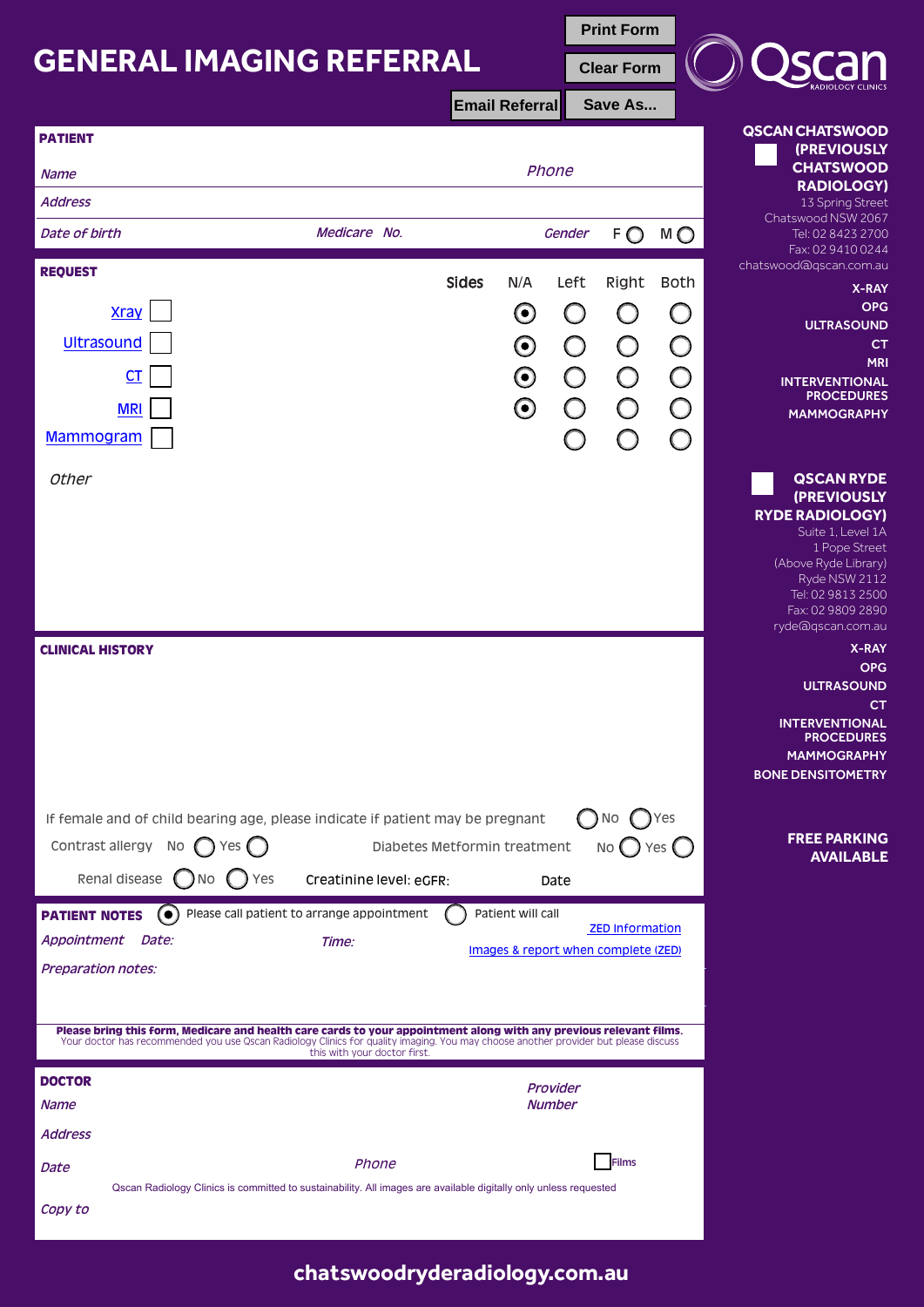## **GENERAL IMAGING REFERRAL**

| <b>GENERAL IMAGING REFERRAL</b>                                                                                                     |                                                                                                                  |                              | <b>Print Form</b>                                             |            |                                                |  |
|-------------------------------------------------------------------------------------------------------------------------------------|------------------------------------------------------------------------------------------------------------------|------------------------------|---------------------------------------------------------------|------------|------------------------------------------------|--|
|                                                                                                                                     |                                                                                                                  |                              | <b>Clear Form</b>                                             |            |                                                |  |
|                                                                                                                                     |                                                                                                                  | <b>Email Referral</b>        | Save As                                                       |            |                                                |  |
| <b>PATIENT</b>                                                                                                                      |                                                                                                                  |                              |                                                               |            | <b>QSCAN CHATSWOOD</b>                         |  |
| <b>Name</b>                                                                                                                         |                                                                                                                  | Phone                        |                                                               |            | (PREVIOUSLY<br><b>CHATSWOOD</b>                |  |
| <b>Address</b>                                                                                                                      |                                                                                                                  |                              |                                                               |            | <b>RADIOLOGY)</b><br>13 Spring Street          |  |
| Date of birth                                                                                                                       | Medicare No.                                                                                                     |                              | Gender<br>FO                                                  | M Q        | Chatswood NSW 2067<br>Tel: 02 8423 2700        |  |
| <b>REQUEST</b>                                                                                                                      |                                                                                                                  |                              |                                                               |            | Fax: 02 9410 0244<br>chatswood@qscan.com.au    |  |
|                                                                                                                                     |                                                                                                                  | <b>Sides</b><br>N/A          | Left<br>Right                                                 | Both       | X-RAY<br><b>OPG</b>                            |  |
| <b>Xray</b>                                                                                                                         |                                                                                                                  | $\boldsymbol{\Theta}$        | ( )                                                           | $\bigcap$  | <b>ULTRASOUND</b>                              |  |
| <b>Ultrasound</b>                                                                                                                   |                                                                                                                  | $\boldsymbol{\odot}$         | O<br>O                                                        | $\bigcirc$ | CT<br><b>MRI</b>                               |  |
| $C$ T                                                                                                                               |                                                                                                                  | $\boldsymbol{\odot}$         | $\bigcirc$<br>$\bigcirc$                                      | $\bigcirc$ | <b>INTERVENTIONAL</b>                          |  |
| <b>MRI</b>                                                                                                                          |                                                                                                                  | $\boldsymbol{\odot}$         | $\bigcirc$<br>$\bigcirc$                                      | $\bigcirc$ | <b>PROCEDURES</b><br><b>MAMMOGRAPHY</b>        |  |
| <b>Mammogram</b>                                                                                                                    |                                                                                                                  |                              |                                                               | ∩          |                                                |  |
|                                                                                                                                     |                                                                                                                  |                              |                                                               |            |                                                |  |
| <b>Other</b>                                                                                                                        |                                                                                                                  |                              |                                                               |            | <b>QSCAN RYDE</b><br>(PREVIOUSLY               |  |
|                                                                                                                                     |                                                                                                                  |                              |                                                               |            | <b>RYDE RADIOLOGY)</b><br>Suite 1, Level 1A    |  |
|                                                                                                                                     |                                                                                                                  |                              |                                                               |            | 1 Pope Street                                  |  |
|                                                                                                                                     |                                                                                                                  |                              |                                                               |            | (Above Ryde Library)<br>Ryde NSW 2112          |  |
|                                                                                                                                     |                                                                                                                  |                              |                                                               |            | Tel: 02 9813 2500<br>Fax: 02 9809 2890         |  |
|                                                                                                                                     |                                                                                                                  |                              |                                                               |            | ryde@qscan.com.au                              |  |
| <b>CLINICAL HISTORY</b>                                                                                                             |                                                                                                                  |                              |                                                               |            | X-RAY<br><b>OPG</b>                            |  |
|                                                                                                                                     |                                                                                                                  |                              |                                                               |            | <b>ULTRASOUND</b>                              |  |
|                                                                                                                                     |                                                                                                                  |                              |                                                               |            | <b>CT</b><br><b>INTERVENTIONAL</b>             |  |
|                                                                                                                                     |                                                                                                                  |                              |                                                               |            | <b>PROCEDURES</b>                              |  |
|                                                                                                                                     |                                                                                                                  |                              |                                                               |            | <b>MAMMOGRAPHY</b><br><b>BONE DENSITOMETRY</b> |  |
|                                                                                                                                     |                                                                                                                  |                              |                                                               |            |                                                |  |
| If female and of child bearing age, please indicate if patient may be pregnant                                                      |                                                                                                                  |                              | ( )No                                                         |            |                                                |  |
| Contrast allergy<br>No<br>Yes $($                                                                                                   |                                                                                                                  | Diabetes Metformin treatment | $NO$ Yes $O$                                                  |            | <b>FREE PARKING</b><br><b>AVAILABLE</b>        |  |
| Renal disease $\bigcirc$ No                                                                                                         | Yes<br>Creatinine level: eGFR:                                                                                   | Date                         |                                                               |            |                                                |  |
| <b>PATIENT NOTES</b><br>$\left( \bullet \right)$                                                                                    | Please call patient to arrange appointment                                                                       | Patient will call            |                                                               |            |                                                |  |
| Appointment Date:                                                                                                                   | Time:                                                                                                            |                              | <b>ZED Information</b><br>Images & report when complete (ZED) |            |                                                |  |
| <b>Preparation notes:</b>                                                                                                           |                                                                                                                  |                              |                                                               |            |                                                |  |
|                                                                                                                                     |                                                                                                                  |                              |                                                               |            |                                                |  |
| Please bring this form, Medicare and health care cards to your appointment along with any previous relevant films.                  |                                                                                                                  |                              |                                                               |            |                                                |  |
| Your doctor has recommended you use Qscan Radiology Clinics for quality imaging. You may choose another provider but please discuss | this with your doctor first.                                                                                     |                              |                                                               |            |                                                |  |
| <b>DOCTOR</b>                                                                                                                       |                                                                                                                  | Provider                     |                                                               |            |                                                |  |
| Name                                                                                                                                |                                                                                                                  | <b>Number</b>                |                                                               |            |                                                |  |
| <b>Address</b>                                                                                                                      |                                                                                                                  |                              |                                                               |            |                                                |  |
| Date                                                                                                                                | Phone                                                                                                            |                              | <b>Films</b>                                                  |            |                                                |  |
|                                                                                                                                     | Qscan Radiology Clinics is committed to sustainability. All images are available digitally only unless requested |                              |                                                               |            |                                                |  |
| Copy to                                                                                                                             |                                                                                                                  |                              |                                                               |            |                                                |  |

**[chatswoodryderadiology.com.au](https://www.ncrg.com.au)**